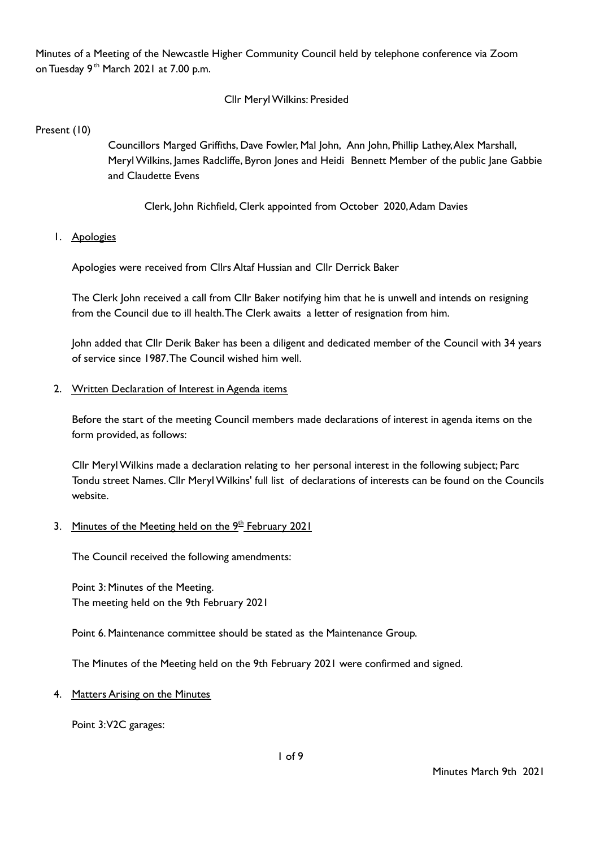Minutes of a Meeting of the Newcastle Higher Community Council held by telephone conference via Zoom on Tuesday 9<sup>th</sup> March 2021 at 7.00 p.m.

## Cllr MerylWilkins: Presided

Present (10)

Councillors Marged Griffiths, Dave Fowler, Mal John, Ann John, Phillip Lathey,Alex Marshall, Meryl Wilkins, James Radcliffe, Byron Jones and Heidi Bennett Member of the public Jane Gabbie and Claudette Evens

Clerk, John Richfield, Clerk appointed from October 2020,Adam Davies

#### 1. Apologies

Apologies were received from Cllrs Altaf Hussian and Cllr Derrick Baker

The Clerk John received a call from Cllr Baker notifying him that he is unwell and intends on resigning from the Council due to ill health.The Clerk awaits a letter of resignation from him.

John added that Cllr Derik Baker has been a diligent and dedicated member of the Council with 34 years of service since 1987.The Council wished him well.

#### 2. Written Declaration of Interest in Agenda items

Before the start of the meeting Council members made declarations of interest in agenda items on the form provided, as follows:

Cllr MerylWilkins made a declaration relating to her personal interest in the following subject; Parc Tondu street Names. Cllr MerylWilkins' full list of declarations of interests can be found on the Councils website.

## 3. Minutes of the Meeting held on the 9<sup>th</sup> February 2021

The Council received the following amendments:

Point 3: Minutes of the Meeting. The meeting held on the 9th February 2021

Point 6. Maintenance committee should be stated as the Maintenance Group.

The Minutes of the Meeting held on the 9th February 2021 were confirmed and signed.

#### 4. Matters Arising on the Minutes

Point 3:V2C garages: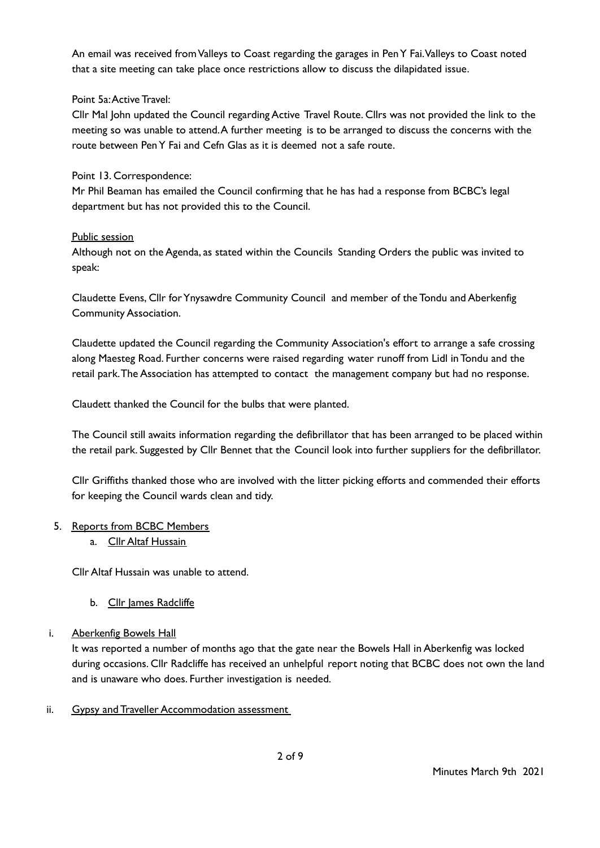An email was received from Valleys to Coast regarding the garages in Pen Y Fai. Valleys to Coast noted that a site meeting can take place once restrictions allow to discuss the dilapidated issue.

## Point 5a:Active Travel:

Cllr Mal John updated the Council regarding Active Travel Route. Cllrs was not provided the link to the meeting so was unable to attend.A further meeting is to be arranged to discuss the concerns with the route between PenY Fai and Cefn Glas as it is deemed not a safe route.

## Point 13. Correspondence:

Mr Phil Beaman has emailed the Council confirming that he has had a response from BCBC's legal department but has not provided this to the Council.

## Public session

Although not on the Agenda, as stated within the Councils Standing Orders the public was invited to speak:

Claudette Evens, Cllr forYnysawdre Community Council and member of the Tondu and Aberkenfig Community Association.

Claudette updated the Council regarding the Community Association's effort to arrange a safe crossing along Maesteg Road. Further concerns were raised regarding water runoff from Lidl in Tondu and the retail park.The Association has attempted to contact the management company but had no response.

Claudett thanked the Council for the bulbs that were planted.

The Council still awaits information regarding the defibrillator that has been arranged to be placed within the retail park. Suggested by Cllr Bennet that the Council look into further suppliers for the defibrillator.

Cllr Griffiths thanked those who are involved with the litter picking efforts and commended their efforts for keeping the Council wards clean and tidy.

## 5. Reports from BCBC Members

a. Cllr Altaf Hussain

Cllr Altaf Hussain was unable to attend.

b. Cllr James Radcliffe

## i. Aberkenfig Bowels Hall

It was reported a number of months ago that the gate near the Bowels Hall in Aberkenfig was locked during occasions. Cllr Radcliffe has received an unhelpful report noting that BCBC does not own the land and is unaware who does. Further investigation is needed.

ii. Gypsy and Traveller Accommodation assessment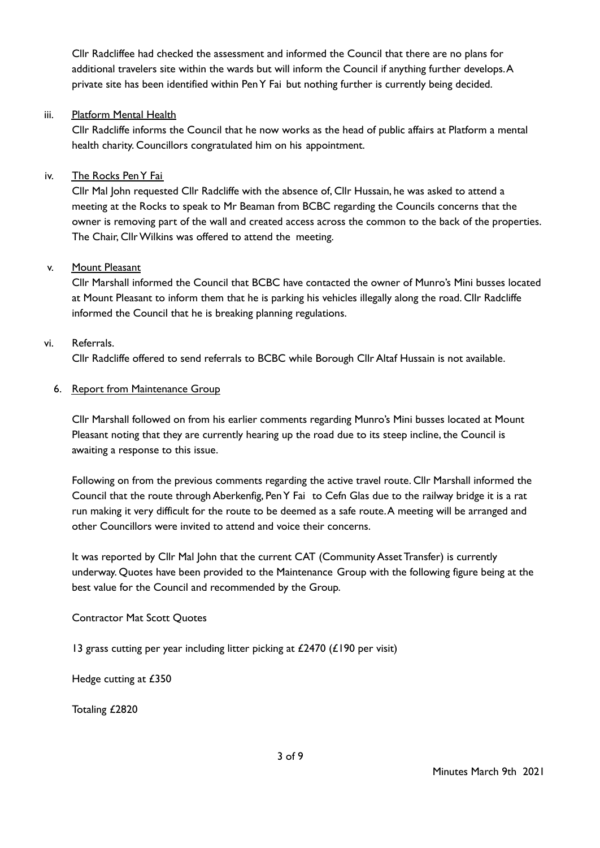Cllr Radcliffee had checked the assessment and informed the Council that there are no plans for additional travelers site within the wards but will inform the Council if anything further develops.A private site has been identified within PenY Fai but nothing further is currently being decided.

## iii. Platform Mental Health

Cllr Radcliffe informs the Council that he now works as the head of public affairs at Platform a mental health charity. Councillors congratulated him on his appointment.

## iv. The Rocks PenY Fai

Cllr Mal John requested Cllr Radcliffe with the absence of, Cllr Hussain, he was asked to attend a meeting at the Rocks to speak to Mr Beaman from BCBC regarding the Councils concerns that the owner is removing part of the wall and created access across the common to the back of the properties. The Chair, Cllr Wilkins was offered to attend the meeting.

## v. Mount Pleasant

Cllr Marshall informed the Council that BCBC have contacted the owner of Munro's Mini busses located at Mount Pleasant to inform them that he is parking his vehicles illegally along the road. Cllr Radcliffe informed the Council that he is breaking planning regulations.

## vi. Referrals.

Cllr Radcliffe offered to send referrals to BCBC while Borough Cllr Altaf Hussain is not available.

## 6. Report from Maintenance Group

Cllr Marshall followed on from his earlier comments regarding Munro's Mini busses located at Mount Pleasant noting that they are currently hearing up the road due to its steep incline, the Council is awaiting a response to this issue.

Following on from the previous comments regarding the active travel route. Cllr Marshall informed the Council that the route through Aberkenfig, PenY Fai to Cefn Glas due to the railway bridge it is a rat run making it very difficult for the route to be deemed as a safe route.A meeting will be arranged and other Councillors were invited to attend and voice their concerns.

It was reported by Cllr Mal John that the current CAT (Community Asset Transfer) is currently underway. Quotes have been provided to the Maintenance Group with the following figure being at the best value for the Council and recommended by the Group.

# Contractor Mat Scott Quotes

13 grass cutting per year including litter picking at £2470 (£190 per visit)

Hedge cutting at £350

Totaling £2820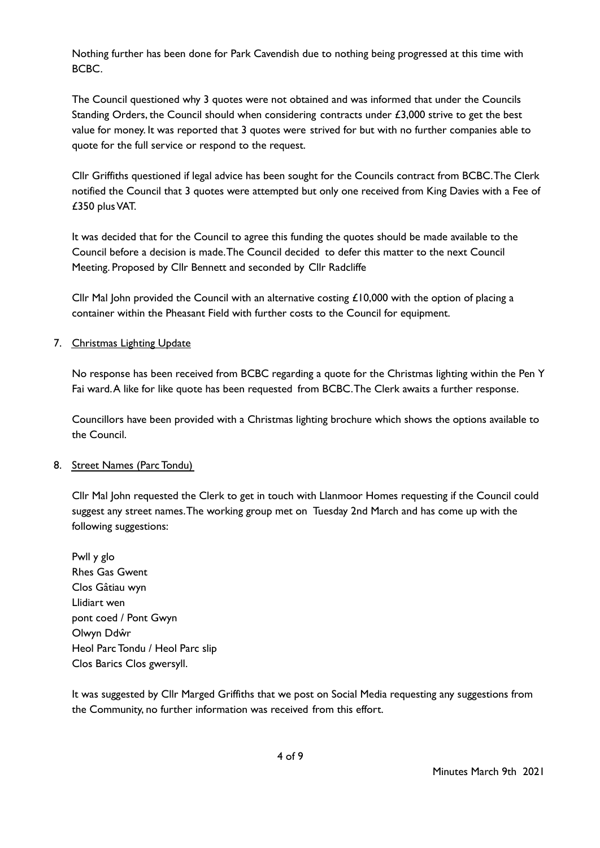Nothing further has been done for Park Cavendish due to nothing being progressed at this time with BCBC.

The Council questioned why 3 quotes were not obtained and was informed that under the Councils Standing Orders, the Council should when considering contracts under  $£3,000$  strive to get the best value for money. It was reported that 3 quotes were strived for but with no further companies able to quote for the full service or respond to the request.

Cllr Griffiths questioned if legal advice has been sought for the Councils contract from BCBC.The Clerk notified the Council that 3 quotes were attempted but only one received from King Davies with a Fee of £350 plusVAT.

It was decided that for the Council to agree this funding the quotes should be made available to the Council before a decision is made.The Council decided to defer this matter to the next Council Meeting. Proposed by Cllr Bennett and seconded by Cllr Radcliffe

Cllr Mal John provided the Council with an alternative costing  $\pounds$ 10,000 with the option of placing a container within the Pheasant Field with further costs to the Council for equipment.

## 7. Christmas Lighting Update

No response has been received from BCBC regarding a quote for the Christmas lighting within the Pen Y Fai ward.A like for like quote has been requested from BCBC.The Clerk awaits a further response.

Councillors have been provided with a Christmas lighting brochure which shows the options available to the Council.

## 8. Street Names (Parc Tondu)

Cllr Mal John requested the Clerk to get in touch with Llanmoor Homes requesting if the Council could suggest any street names.The working group met on Tuesday 2nd March and has come up with the following suggestions:

Pwll y glo Rhes Gas Gwent Clos Gâtiau wyn Llidiart wen pont coed / Pont Gwyn Olwyn Ddŵr Heol Parc Tondu / Heol Parc slip Clos Barics Clos gwersyll.

It was suggested by Cllr Marged Griffiths that we post on Social Media requesting any suggestions from the Community, no further information was received from this effort.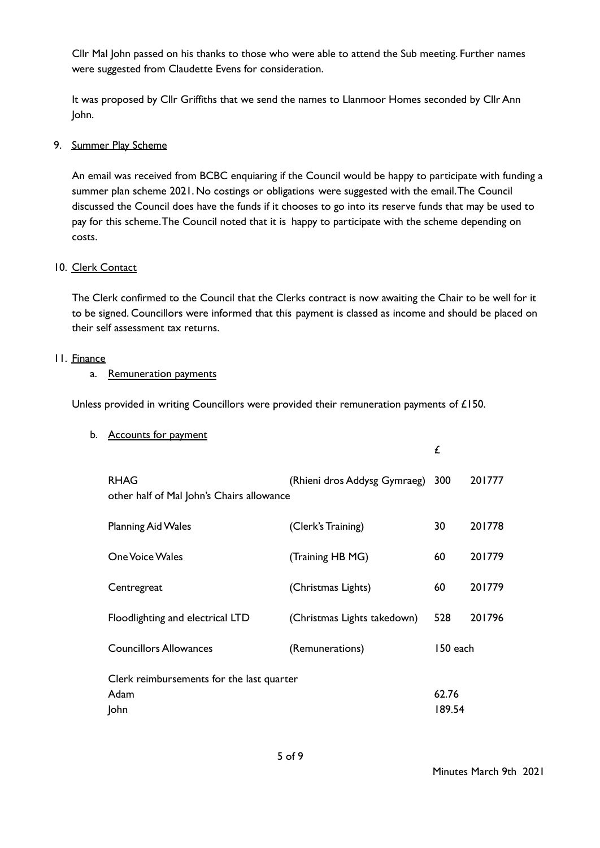Cllr Mal John passed on his thanks to those who were able to attend the Sub meeting. Further names were suggested from Claudette Evens for consideration.

It was proposed by Cllr Griffiths that we send the names to Llanmoor Homes seconded by Cllr Ann John.

## 9. Summer Play Scheme

An email was received from BCBC enquiaring if the Council would be happy to participate with funding a summer plan scheme 2021. No costings or obligations were suggested with the email.The Council discussed the Council does have the funds if it chooses to go into its reserve funds that may be used to pay for this scheme.The Council noted that it is happy to participate with the scheme depending on costs.

#### 10. Clerk Contact

The Clerk confirmed to the Council that the Clerks contract is now awaiting the Chair to be well for it to be signed. Councillors were informed that this payment is classed as income and should be placed on their self assessment tax returns.

#### 11. Finance

## a. Remuneration payments

Unless provided in writing Councillors were provided their remuneration payments of £150.

| <b>RHAG</b><br>other half of Mal John's Chairs allowance | (Rhieni dros Addysg Gymraeg) | 300      | 201777 |
|----------------------------------------------------------|------------------------------|----------|--------|
| <b>Planning Aid Wales</b>                                | (Clerk's Training)           | 30       | 201778 |
| <b>One Voice Wales</b>                                   | (Training HB MG)             | 60       | 201779 |
| Centregreat                                              | (Christmas Lights)           | 60       | 201779 |
| Floodlighting and electrical LTD                         | (Christmas Lights takedown)  | 528      | 201796 |
| <b>Councillors Allowances</b>                            | (Remunerations)              | 150 each |        |
| Clerk reimbursements for the last quarter                |                              |          |        |
| Adam                                                     |                              | 62.76    |        |
| John                                                     |                              | 189.54   |        |

£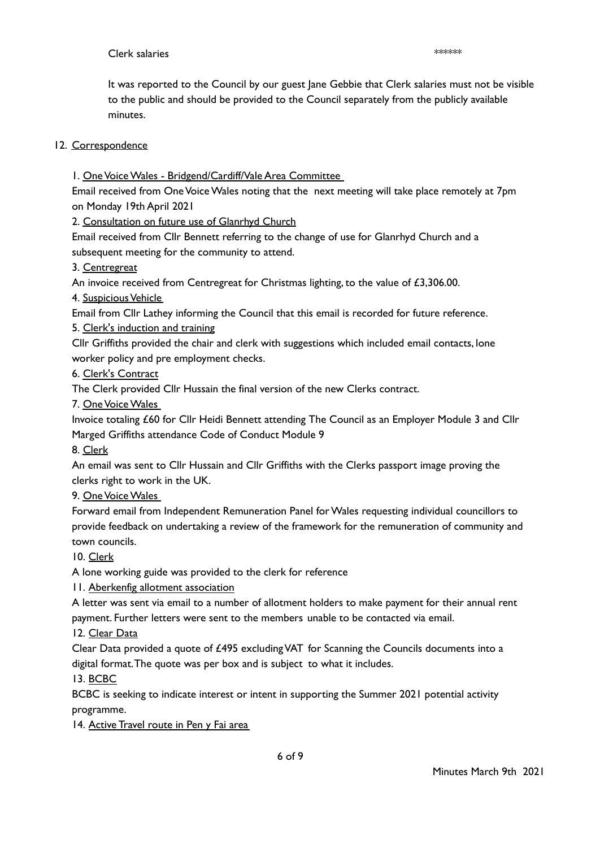## Clerk salaries \*\*\*\*\*\*

It was reported to the Council by our guest Jane Gebbie that Clerk salaries must not be visible to the public and should be provided to the Council separately from the publicly available minutes.

# 12. Correspondence

1. One Voice Wales - Bridgend/Cardiff/Vale Area Committee

Email received from One Voice Wales noting that the next meeting will take place remotely at 7pm on Monday 19th April 2021

2. Consultation on future use of Glanrhyd Church

Email received from Cllr Bennett referring to the change of use for Glanrhyd Church and a subsequent meeting for the community to attend.

## 3. Centregreat

An invoice received from Centregreat for Christmas lighting, to the value of  $£3,306.00.$ 

## 4. Suspicious Vehicle

Email from Cllr Lathey informing the Council that this email is recorded for future reference.

5. Clerk's induction and training

Cllr Griffiths provided the chair and clerk with suggestions which included email contacts, lone worker policy and pre employment checks.

## 6. Clerk's Contract

The Clerk provided Cllr Hussain the final version of the new Clerks contract.

7. OneVoiceWales

Invoice totaling £60 for Cllr Heidi Bennett attending The Council as an Employer Module 3 and Cllr Marged Griffiths attendance Code of Conduct Module 9

## 8. Clerk

An email was sent to Cllr Hussain and Cllr Griffiths with the Clerks passport image proving the clerks right to work in the UK.

# 9. One Voice Wales

Forward email from Independent Remuneration Panel for Wales requesting individual councillors to provide feedback on undertaking a review of the framework for the remuneration of community and town councils.

## 10. Clerk

A lone working guide was provided to the clerk for reference

11. Aberkenfig allotment association

A letter was sent via email to a number of allotment holders to make payment for their annual rent payment. Further letters were sent to the members unable to be contacted via email.

## 12. Clear Data

Clear Data provided a quote of £495 excludingVAT for Scanning the Councils documents into a digital format.The quote was per box and is subject to what it includes.

13. BCBC

BCBC is seeking to indicate interest or intent in supporting the Summer 2021 potential activity programme.

14. Active Travel route in Pen y Fai area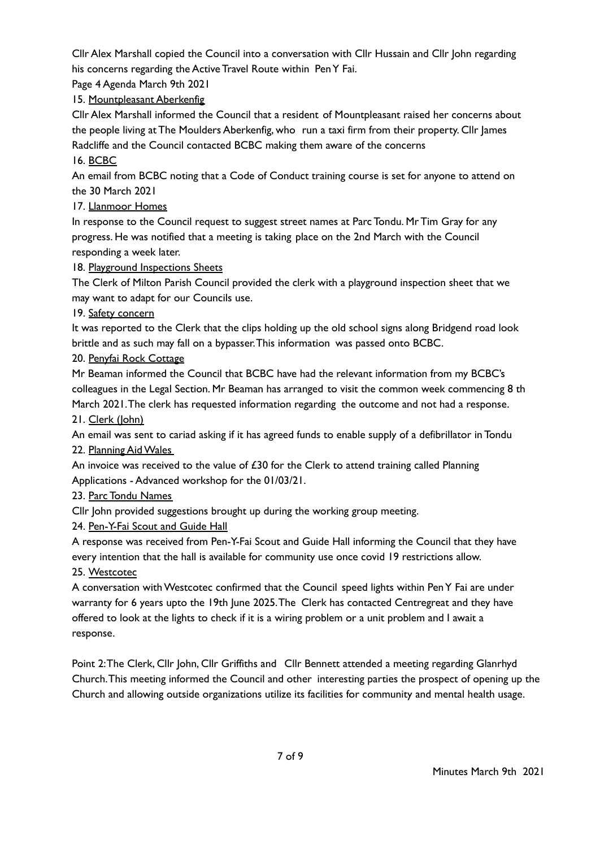Cllr Alex Marshall copied the Council into a conversation with Cllr Hussain and Cllr John regarding his concerns regarding the Active Travel Route within PenY Fai.

Page 4 Agenda March 9th 2021

15. Mountpleasant Aberkenfig

Cllr Alex Marshall informed the Council that a resident of Mountpleasant raised her concerns about the people living at The Moulders Aberkenfig, who run a taxi firm from their property. Cllr James Radcliffe and the Council contacted BCBC making them aware of the concerns 16. BCBC

An email from BCBC noting that a Code of Conduct training course is set for anyone to attend on the 30 March 2021

17. Llanmoor Homes

In response to the Council request to suggest street names at Parc Tondu. Mr Tim Gray for any progress. He was notified that a meeting is taking place on the 2nd March with the Council responding a week later.

18. Playground Inspections Sheets

The Clerk of Milton Parish Council provided the clerk with a playground inspection sheet that we may want to adapt for our Councils use.

19. Safety concern

It was reported to the Clerk that the clips holding up the old school signs along Bridgend road look brittle and as such may fall on a bypasser.This information was passed onto BCBC.

20. Penyfai Rock Cottage

Mr Beaman informed the Council that BCBC have had the relevant information from my BCBC's colleagues in the Legal Section. Mr Beaman has arranged to visit the common week commencing 8 th March 2021.The clerk has requested information regarding the outcome and not had a response.

21. Clerk (John)

An email was sent to cariad asking if it has agreed funds to enable supply of a defibrillator in Tondu 22. Planning AidWales

An invoice was received to the value of  $£30$  for the Clerk to attend training called Planning Applications - Advanced workshop for the 01/03/21.

23. Parc Tondu Names

Cllr John provided suggestions brought up during the working group meeting.

24. Pen-Y-Fai Scout and Guide Hall

A response was received from Pen-Y-Fai Scout and Guide Hall informing the Council that they have every intention that the hall is available for community use once covid 19 restrictions allow.

25. Westcotec

A conversation withWestcotec confirmed that the Council speed lights within PenY Fai are under warranty for 6 years upto the 19th June 2025.The Clerk has contacted Centregreat and they have offered to look at the lights to check if it is a wiring problem or a unit problem and I await a response.

Point 2:The Clerk, Cllr John, Cllr Griffiths and Cllr Bennett attended a meeting regarding Glanrhyd Church.This meeting informed the Council and other interesting parties the prospect of opening up the Church and allowing outside organizations utilize its facilities for community and mental health usage.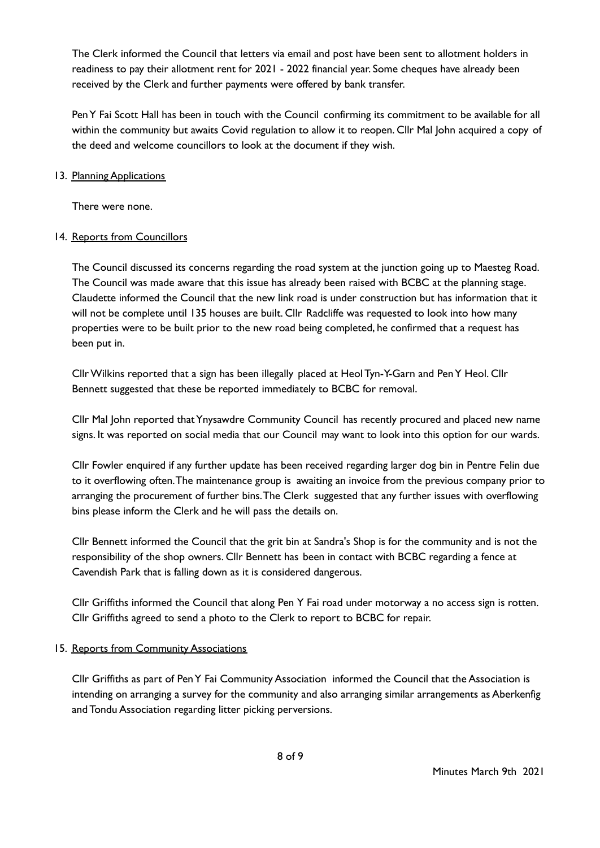The Clerk informed the Council that letters via email and post have been sent to allotment holders in readiness to pay their allotment rent for 2021 - 2022 financial year. Some cheques have already been received by the Clerk and further payments were offered by bank transfer.

PenY Fai Scott Hall has been in touch with the Council confirming its commitment to be available for all within the community but awaits Covid regulation to allow it to reopen. Cllr Mal John acquired a copy of the deed and welcome councillors to look at the document if they wish.

## 13. Planning Applications

There were none.

# 14. Reports from Councillors

The Council discussed its concerns regarding the road system at the junction going up to Maesteg Road. The Council was made aware that this issue has already been raised with BCBC at the planning stage. Claudette informed the Council that the new link road is under construction but has information that it will not be complete until 135 houses are built. Cllr Radcliffe was requested to look into how many properties were to be built prior to the new road being completed, he confirmed that a request has been put in.

CllrWilkins reported that a sign has been illegally placed at Heol Tyn-Y-Garn and PenY Heol. Cllr Bennett suggested that these be reported immediately to BCBC for removal.

Cllr Mal John reported thatYnysawdre Community Council has recently procured and placed new name signs. It was reported on social media that our Council may want to look into this option for our wards.

Cllr Fowler enquired if any further update has been received regarding larger dog bin in Pentre Felin due to it overflowing often.The maintenance group is awaiting an invoice from the previous company prior to arranging the procurement of further bins.The Clerk suggested that any further issues with overflowing bins please inform the Clerk and he will pass the details on.

Cllr Bennett informed the Council that the grit bin at Sandra's Shop is for the community and is not the responsibility of the shop owners. Cllr Bennett has been in contact with BCBC regarding a fence at Cavendish Park that is falling down as it is considered dangerous.

Cllr Griffiths informed the Council that along Pen Y Fai road under motorway a no access sign is rotten. Cllr Griffiths agreed to send a photo to the Clerk to report to BCBC for repair.

# 15. Reports from Community Associations

Cllr Griffiths as part of PenY Fai Community Association informed the Council that the Association is intending on arranging a survey for the community and also arranging similar arrangements as Aberkenfig and Tondu Association regarding litter picking perversions.